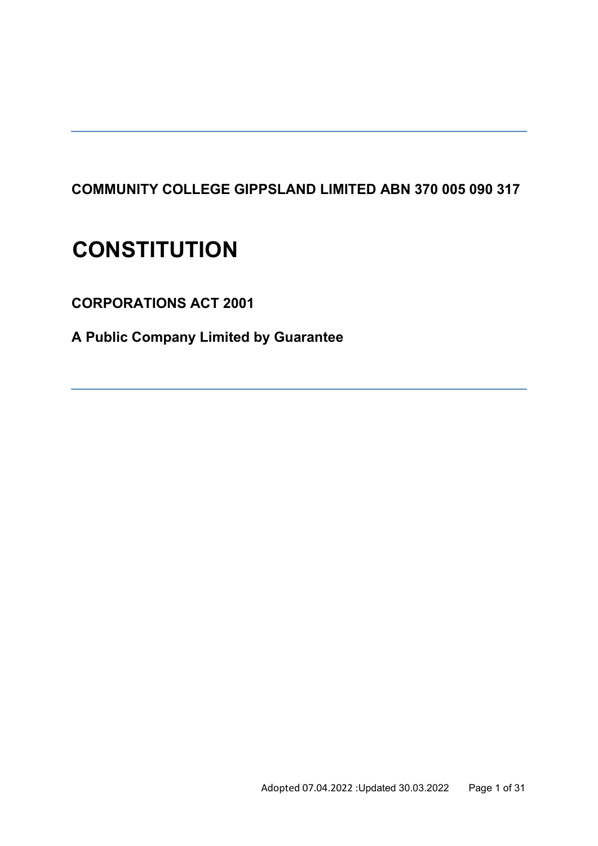# **COMMUNITY COLLEGE GIPPSLAND LIMITED ABN 370 005 090 317**

# **CONSTITUTION**

**CORPORATIONS ACT 2001** 

**A Public Company Limited by Guarantee**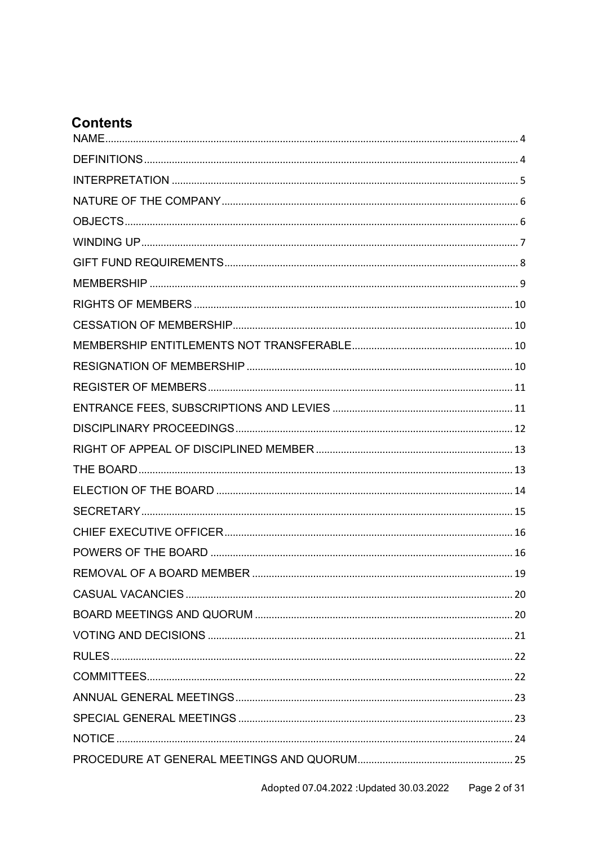# **Contents**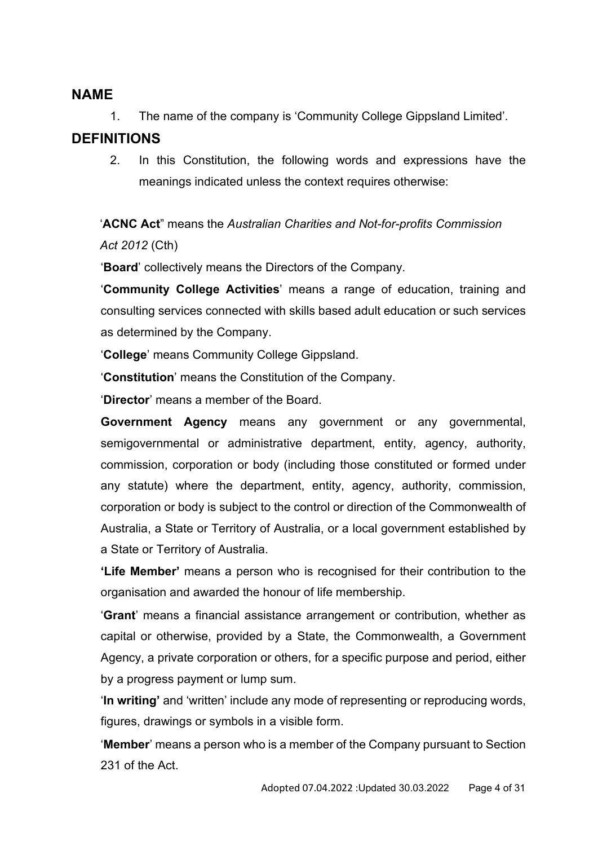### <span id="page-3-0"></span>**NAME**

1. The name of the company is 'Community College Gippsland Limited'.

## <span id="page-3-1"></span>**DEFINITIONS**

2. In this Constitution, the following words and expressions have the meanings indicated unless the context requires otherwise:

'**ACNC Act**" means the *Australian Charities and Not-for-profits Commission Act 2012* (Cth)

'**Board**' collectively means the Directors of the Company.

'**Community College Activities**' means a range of education, training and consulting services connected with skills based adult education or such services as determined by the Company.

'**College**' means Community College Gippsland.

'**Constitution**' means the Constitution of the Company.

'**Director**' means a member of the Board.

**Government Agency** means any government or any governmental, semigovernmental or administrative department, entity, agency, authority, commission, corporation or body (including those constituted or formed under any statute) where the department, entity, agency, authority, commission, corporation or body is subject to the control or direction of the Commonwealth of Australia, a State or Territory of Australia, or a local government established by a State or Territory of Australia.

**'Life Member'** means a person who is recognised for their contribution to the organisation and awarded the honour of life membership.

'**Grant**' means a financial assistance arrangement or contribution, whether as capital or otherwise, provided by a State, the Commonwealth, a Government Agency, a private corporation or others, for a specific purpose and period, either by a progress payment or lump sum.

'**In writing'** and 'written' include any mode of representing or reproducing words, figures, drawings or symbols in a visible form.

'**Member**' means a person who is a member of the Company pursuant to Section 231 of the Act.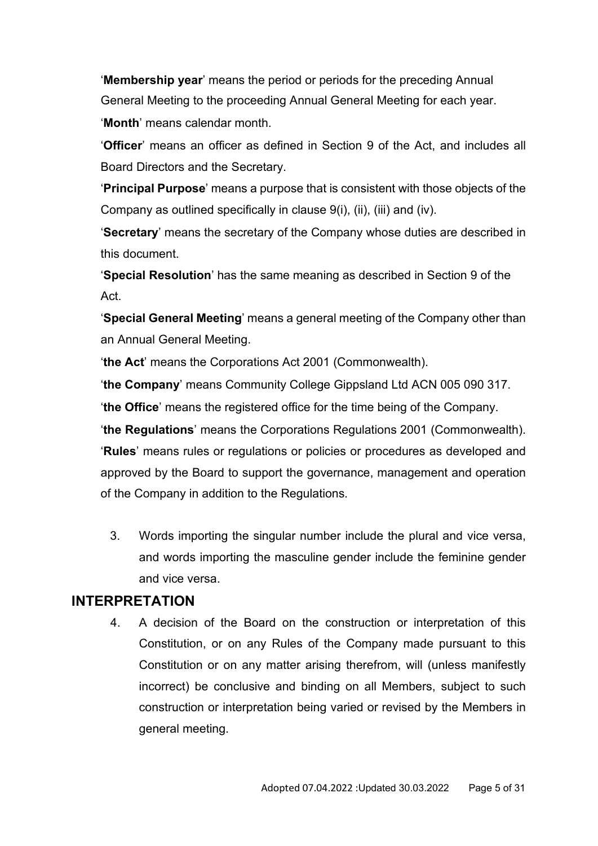'**Membership year**' means the period or periods for the preceding Annual General Meeting to the proceeding Annual General Meeting for each year. '**Month**' means calendar month.

'**Officer**' means an officer as defined in Section 9 of the Act, and includes all Board Directors and the Secretary.

'**Principal Purpose**' means a purpose that is consistent with those objects of the Company as outlined specifically in clause 9(i), (ii), (iii) and (iv).

'**Secretary**' means the secretary of the Company whose duties are described in this document.

'**Special Resolution**' has the same meaning as described in Section 9 of the Act.

'**Special General Meeting**' means a general meeting of the Company other than an Annual General Meeting.

'**the Act**' means the Corporations Act 2001 (Commonwealth).

'**the Company**' means Community College Gippsland Ltd ACN 005 090 317.

'**the Office**' means the registered office for the time being of the Company.

'**the Regulations**' means the Corporations Regulations 2001 (Commonwealth). '**Rules**' means rules or regulations or policies or procedures as developed and approved by the Board to support the governance, management and operation of the Company in addition to the Regulations.

3. Words importing the singular number include the plural and vice versa, and words importing the masculine gender include the feminine gender and vice versa.

## <span id="page-4-0"></span>**INTERPRETATION**

4. A decision of the Board on the construction or interpretation of this Constitution, or on any Rules of the Company made pursuant to this Constitution or on any matter arising therefrom, will (unless manifestly incorrect) be conclusive and binding on all Members, subject to such construction or interpretation being varied or revised by the Members in general meeting.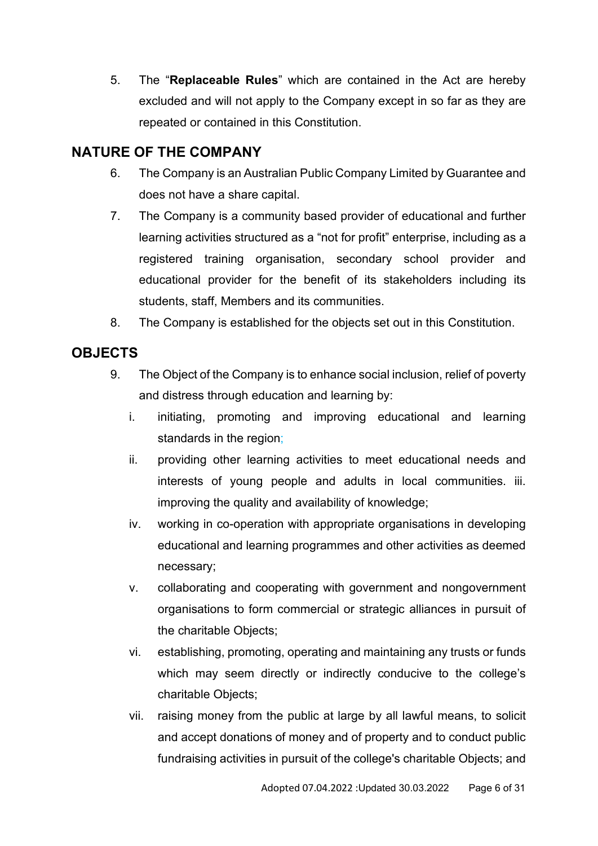5. The "**Replaceable Rules**" which are contained in the Act are hereby excluded and will not apply to the Company except in so far as they are repeated or contained in this Constitution.

## <span id="page-5-0"></span>**NATURE OF THE COMPANY**

- 6. The Company is an Australian Public Company Limited by Guarantee and does not have a share capital.
- 7. The Company is a community based provider of educational and further learning activities structured as a "not for profit" enterprise, including as a registered training organisation, secondary school provider and educational provider for the benefit of its stakeholders including its students, staff, Members and its communities.
- 8. The Company is established for the objects set out in this Constitution.

## <span id="page-5-1"></span>**OBJECTS**

- 9. The Object of the Company is to enhance social inclusion, relief of poverty and distress through education and learning by:
	- i. initiating, promoting and improving educational and learning standards in the region;
	- ii. providing other learning activities to meet educational needs and interests of young people and adults in local communities. iii. improving the quality and availability of knowledge;
	- iv. working in co-operation with appropriate organisations in developing educational and learning programmes and other activities as deemed necessary;
	- v. collaborating and cooperating with government and nongovernment organisations to form commercial or strategic alliances in pursuit of the charitable Objects;
	- vi. establishing, promoting, operating and maintaining any trusts or funds which may seem directly or indirectly conducive to the college's charitable Objects;
	- vii. raising money from the public at large by all lawful means, to solicit and accept donations of money and of property and to conduct public fundraising activities in pursuit of the college's charitable Objects; and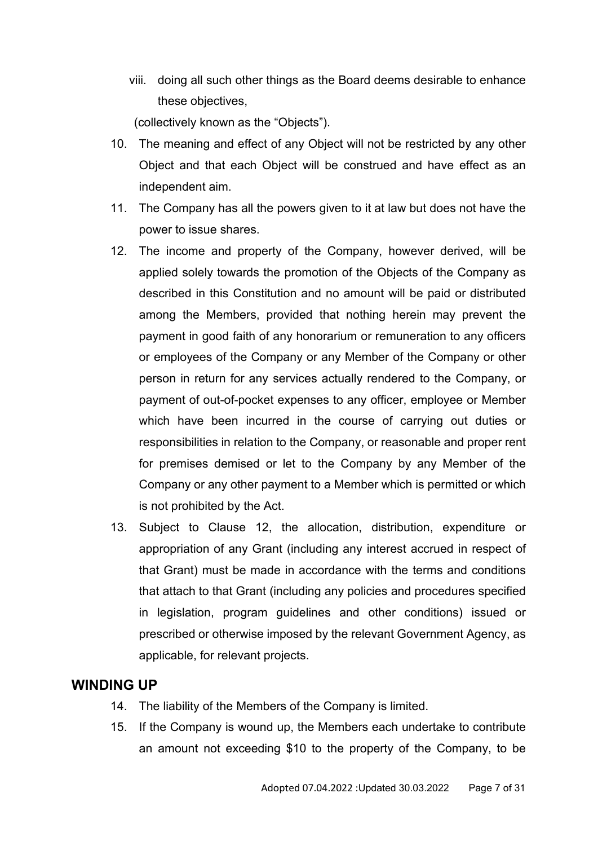viii. doing all such other things as the Board deems desirable to enhance these objectives,

(collectively known as the "Objects").

- 10. The meaning and effect of any Object will not be restricted by any other Object and that each Object will be construed and have effect as an independent aim.
- 11. The Company has all the powers given to it at law but does not have the power to issue shares.
- 12. The income and property of the Company, however derived, will be applied solely towards the promotion of the Objects of the Company as described in this Constitution and no amount will be paid or distributed among the Members, provided that nothing herein may prevent the payment in good faith of any honorarium or remuneration to any officers or employees of the Company or any Member of the Company or other person in return for any services actually rendered to the Company, or payment of out-of-pocket expenses to any officer, employee or Member which have been incurred in the course of carrying out duties or responsibilities in relation to the Company, or reasonable and proper rent for premises demised or let to the Company by any Member of the Company or any other payment to a Member which is permitted or which is not prohibited by the Act.
- 13. Subject to Clause 12, the allocation, distribution, expenditure or appropriation of any Grant (including any interest accrued in respect of that Grant) must be made in accordance with the terms and conditions that attach to that Grant (including any policies and procedures specified in legislation, program guidelines and other conditions) issued or prescribed or otherwise imposed by the relevant Government Agency, as applicable, for relevant projects.

## <span id="page-6-0"></span>**WINDING UP**

- 14. The liability of the Members of the Company is limited.
- 15. If the Company is wound up, the Members each undertake to contribute an amount not exceeding \$10 to the property of the Company, to be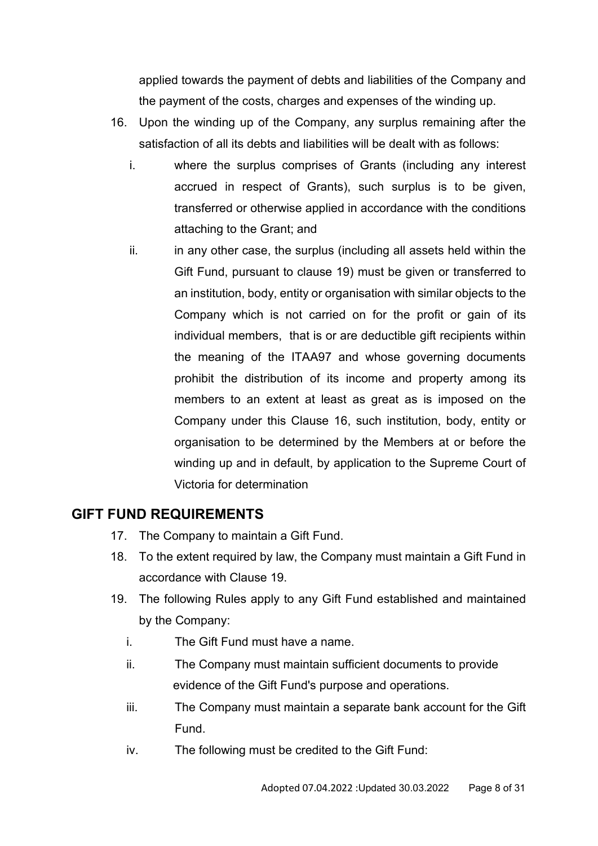applied towards the payment of debts and liabilities of the Company and the payment of the costs, charges and expenses of the winding up.

- 16. Upon the winding up of the Company, any surplus remaining after the satisfaction of all its debts and liabilities will be dealt with as follows:
	- i. where the surplus comprises of Grants (including any interest accrued in respect of Grants), such surplus is to be given, transferred or otherwise applied in accordance with the conditions attaching to the Grant; and
	- ii. in any other case, the surplus (including all assets held within the Gift Fund, pursuant to clause 19) must be given or transferred to an institution, body, entity or organisation with similar objects to the Company which is not carried on for the profit or gain of its individual members, that is or are deductible gift recipients within the meaning of the ITAA97 and whose governing documents prohibit the distribution of its income and property among its members to an extent at least as great as is imposed on the Company under this Clause 16, such institution, body, entity or organisation to be determined by the Members at or before the winding up and in default, by application to the Supreme Court of Victoria for determination

## <span id="page-7-0"></span>**GIFT FUND REQUIREMENTS**

- 17. The Company to maintain a Gift Fund.
- 18. To the extent required by law, the Company must maintain a Gift Fund in accordance with Clause 19.
- 19. The following Rules apply to any Gift Fund established and maintained by the Company:
	- i. The Gift Fund must have a name.
	- ii. The Company must maintain sufficient documents to provide evidence of the Gift Fund's purpose and operations.
	- iii. The Company must maintain a separate bank account for the Gift Fund.
	- iv. The following must be credited to the Gift Fund: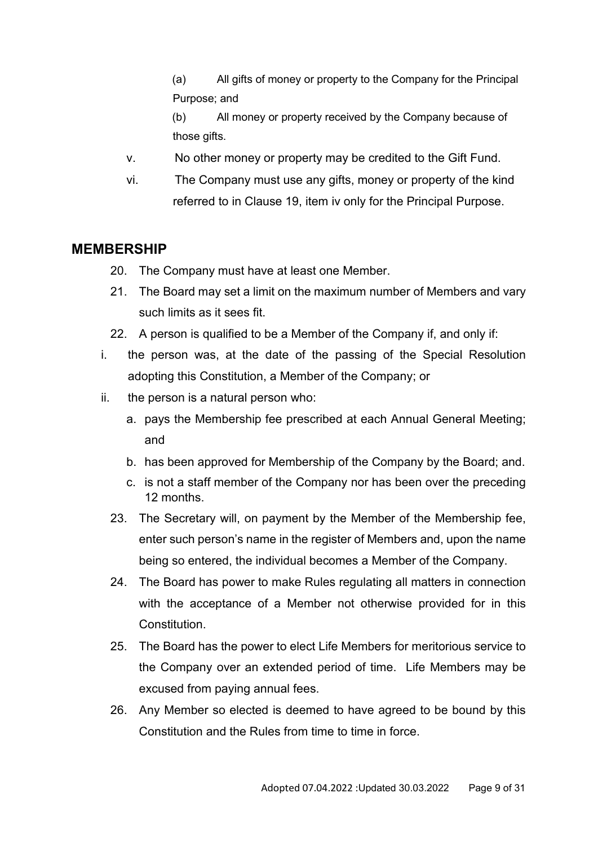(a) All gifts of money or property to the Company for the Principal Purpose; and

(b) All money or property received by the Company because of those gifts.

- v. No other money or property may be credited to the Gift Fund.
- vi. The Company must use any gifts, money or property of the kind referred to in Clause 19, item iv only for the Principal Purpose.

#### <span id="page-8-0"></span>**MEMBERSHIP**

- 20. The Company must have at least one Member.
- 21. The Board may set a limit on the maximum number of Members and vary such limits as it sees fit.
- 22. A person is qualified to be a Member of the Company if, and only if:
- i. the person was, at the date of the passing of the Special Resolution adopting this Constitution, a Member of the Company; or
- ii. the person is a natural person who:
	- a. pays the Membership fee prescribed at each Annual General Meeting; and
	- b. has been approved for Membership of the Company by the Board; and.
	- c. is not a staff member of the Company nor has been over the preceding 12 months.
	- 23. The Secretary will, on payment by the Member of the Membership fee, enter such person's name in the register of Members and, upon the name being so entered, the individual becomes a Member of the Company.
	- 24. The Board has power to make Rules regulating all matters in connection with the acceptance of a Member not otherwise provided for in this Constitution.
	- 25. The Board has the power to elect Life Members for meritorious service to the Company over an extended period of time. Life Members may be excused from paying annual fees.
	- 26. Any Member so elected is deemed to have agreed to be bound by this Constitution and the Rules from time to time in force.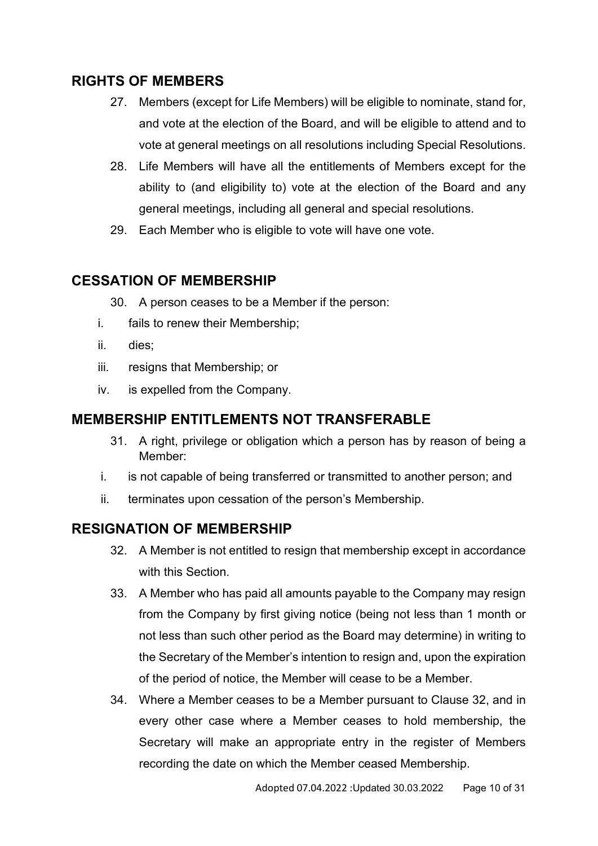## <span id="page-9-0"></span>**RIGHTS OF MEMBERS**

- 27. Members (except for Life Members) will be eligible to nominate, stand for, and vote at the election of the Board, and will be eligible to attend and to vote at general meetings on all resolutions including Special Resolutions.
- 28. Life Members will have all the entitlements of Members except for the ability to (and eligibility to) vote at the election of the Board and any general meetings, including all general and special resolutions.
- 29. Each Member who is eligible to vote will have one vote.

### <span id="page-9-1"></span>**CESSATION OF MEMBERSHIP**

- 30. A person ceases to be a Member if the person:
- i. fails to renew their Membership;
- ii. dies;
- iii. resigns that Membership; or
- iv. is expelled from the Company.

#### <span id="page-9-2"></span>**MEMBERSHIP ENTITLEMENTS NOT TRANSFERABLE**

- 31. A right, privilege or obligation which a person has by reason of being a Member:
- i. is not capable of being transferred or transmitted to another person; and
- ii. terminates upon cessation of the person's Membership.

### <span id="page-9-3"></span>**RESIGNATION OF MEMBERSHIP**

- 32. A Member is not entitled to resign that membership except in accordance with this Section.
- 33. A Member who has paid all amounts payable to the Company may resign from the Company by first giving notice (being not less than 1 month or not less than such other period as the Board may determine) in writing to the Secretary of the Member's intention to resign and, upon the expiration of the period of notice, the Member will cease to be a Member.
- 34. Where a Member ceases to be a Member pursuant to Clause 32, and in every other case where a Member ceases to hold membership, the Secretary will make an appropriate entry in the register of Members recording the date on which the Member ceased Membership.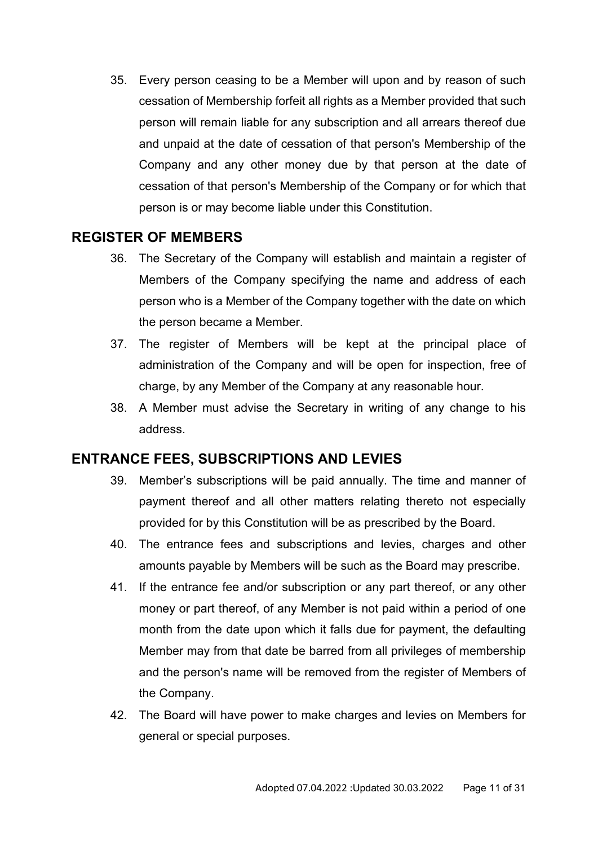35. Every person ceasing to be a Member will upon and by reason of such cessation of Membership forfeit all rights as a Member provided that such person will remain liable for any subscription and all arrears thereof due and unpaid at the date of cessation of that person's Membership of the Company and any other money due by that person at the date of cessation of that person's Membership of the Company or for which that person is or may become liable under this Constitution.

## <span id="page-10-0"></span>**REGISTER OF MEMBERS**

- 36. The Secretary of the Company will establish and maintain a register of Members of the Company specifying the name and address of each person who is a Member of the Company together with the date on which the person became a Member.
- 37. The register of Members will be kept at the principal place of administration of the Company and will be open for inspection, free of charge, by any Member of the Company at any reasonable hour.
- 38. A Member must advise the Secretary in writing of any change to his address.

## <span id="page-10-1"></span>**ENTRANCE FEES, SUBSCRIPTIONS AND LEVIES**

- 39. Member's subscriptions will be paid annually. The time and manner of payment thereof and all other matters relating thereto not especially provided for by this Constitution will be as prescribed by the Board.
- 40. The entrance fees and subscriptions and levies, charges and other amounts payable by Members will be such as the Board may prescribe.
- 41. If the entrance fee and/or subscription or any part thereof, or any other money or part thereof, of any Member is not paid within a period of one month from the date upon which it falls due for payment, the defaulting Member may from that date be barred from all privileges of membership and the person's name will be removed from the register of Members of the Company.
- 42. The Board will have power to make charges and levies on Members for general or special purposes.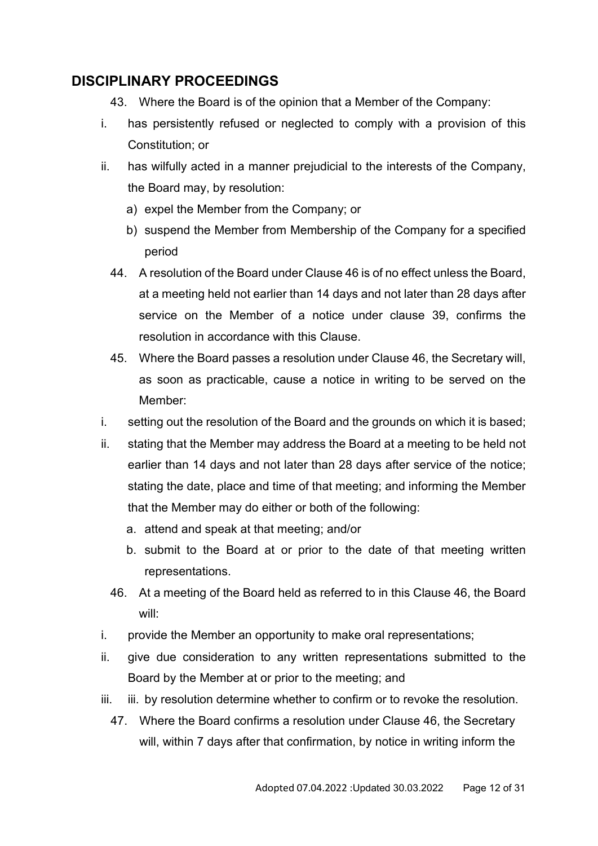## <span id="page-11-0"></span>**DISCIPLINARY PROCEEDINGS**

- 43. Where the Board is of the opinion that a Member of the Company:
- i. has persistently refused or neglected to comply with a provision of this Constitution; or
- ii. has wilfully acted in a manner prejudicial to the interests of the Company, the Board may, by resolution:
	- a) expel the Member from the Company; or
	- b) suspend the Member from Membership of the Company for a specified period
	- 44. A resolution of the Board under Clause 46 is of no effect unless the Board, at a meeting held not earlier than 14 days and not later than 28 days after service on the Member of a notice under clause 39, confirms the resolution in accordance with this Clause.
	- 45. Where the Board passes a resolution under Clause 46, the Secretary will, as soon as practicable, cause a notice in writing to be served on the Member:
- i. setting out the resolution of the Board and the grounds on which it is based;
- ii. stating that the Member may address the Board at a meeting to be held not earlier than 14 days and not later than 28 days after service of the notice; stating the date, place and time of that meeting; and informing the Member that the Member may do either or both of the following:
	- a. attend and speak at that meeting; and/or
	- b. submit to the Board at or prior to the date of that meeting written representations.
	- 46. At a meeting of the Board held as referred to in this Clause 46, the Board will:
- i. provide the Member an opportunity to make oral representations;
- ii. give due consideration to any written representations submitted to the Board by the Member at or prior to the meeting; and
- iii. iii. by resolution determine whether to confirm or to revoke the resolution.
	- 47. Where the Board confirms a resolution under Clause 46, the Secretary will, within 7 days after that confirmation, by notice in writing inform the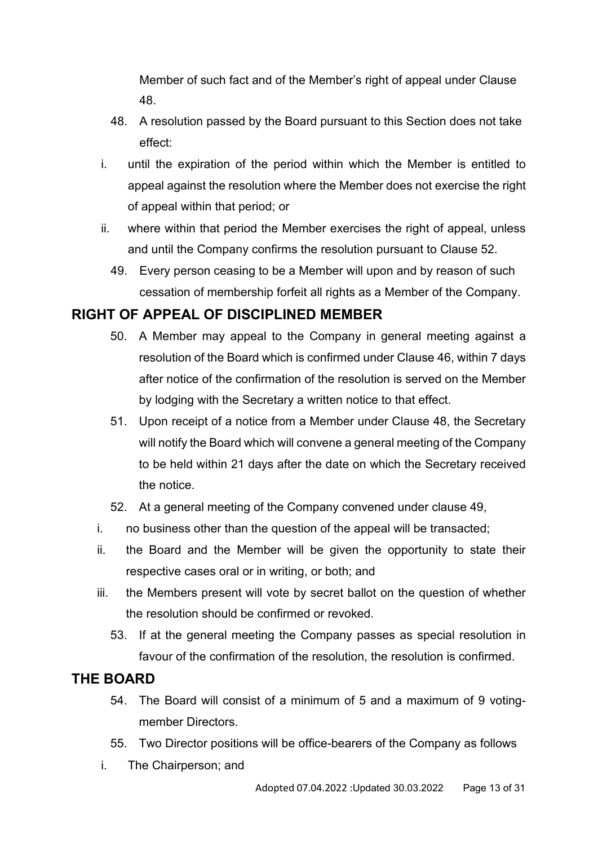Member of such fact and of the Member's right of appeal under Clause 48.

- 48. A resolution passed by the Board pursuant to this Section does not take effect:
- i. until the expiration of the period within which the Member is entitled to appeal against the resolution where the Member does not exercise the right of appeal within that period; or
- ii. where within that period the Member exercises the right of appeal, unless and until the Company confirms the resolution pursuant to Clause 52.
	- 49. Every person ceasing to be a Member will upon and by reason of such cessation of membership forfeit all rights as a Member of the Company.

## <span id="page-12-0"></span>**RIGHT OF APPEAL OF DISCIPLINED MEMBER**

- 50. A Member may appeal to the Company in general meeting against a resolution of the Board which is confirmed under Clause 46, within 7 days after notice of the confirmation of the resolution is served on the Member by lodging with the Secretary a written notice to that effect.
- 51. Upon receipt of a notice from a Member under Clause 48, the Secretary will notify the Board which will convene a general meeting of the Company to be held within 21 days after the date on which the Secretary received the notice.
- 52. At a general meeting of the Company convened under clause 49,
- i. no business other than the question of the appeal will be transacted;
- ii. the Board and the Member will be given the opportunity to state their respective cases oral or in writing, or both; and
- iii. the Members present will vote by secret ballot on the question of whether the resolution should be confirmed or revoked.
	- 53. If at the general meeting the Company passes as special resolution in favour of the confirmation of the resolution, the resolution is confirmed.

## <span id="page-12-1"></span>**THE BOARD**

- 54. The Board will consist of a minimum of 5 and a maximum of 9 votingmember Directors.
- 55. Two Director positions will be office-bearers of the Company as follows
- i. The Chairperson; and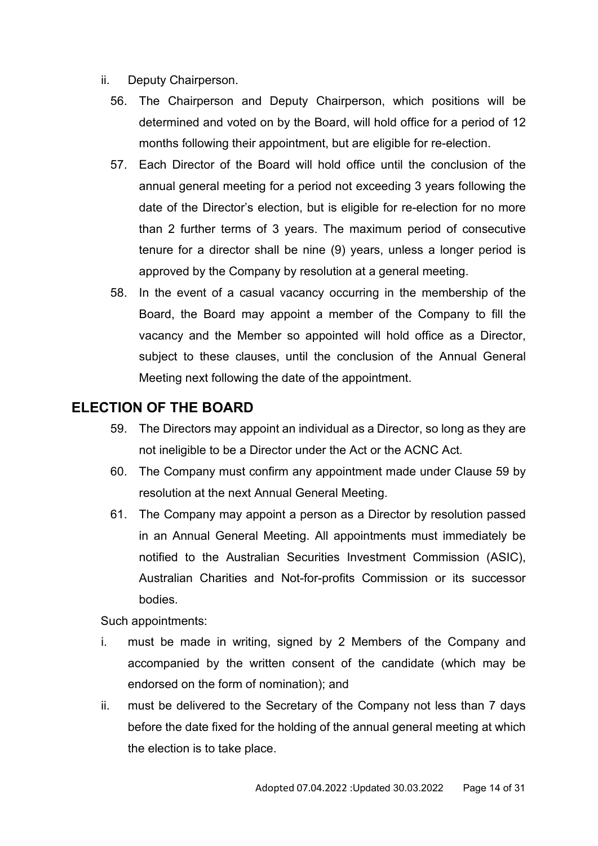- ii. Deputy Chairperson.
	- 56. The Chairperson and Deputy Chairperson, which positions will be determined and voted on by the Board, will hold office for a period of 12 months following their appointment, but are eligible for re-election.
	- 57. Each Director of the Board will hold office until the conclusion of the annual general meeting for a period not exceeding 3 years following the date of the Director's election, but is eligible for re-election for no more than 2 further terms of 3 years. The maximum period of consecutive tenure for a director shall be nine (9) years, unless a longer period is approved by the Company by resolution at a general meeting.
	- 58. In the event of a casual vacancy occurring in the membership of the Board, the Board may appoint a member of the Company to fill the vacancy and the Member so appointed will hold office as a Director, subject to these clauses, until the conclusion of the Annual General Meeting next following the date of the appointment.

## <span id="page-13-0"></span>**ELECTION OF THE BOARD**

- 59. The Directors may appoint an individual as a Director, so long as they are not ineligible to be a Director under the Act or the ACNC Act.
- 60. The Company must confirm any appointment made under Clause 59 by resolution at the next Annual General Meeting.
- 61. The Company may appoint a person as a Director by resolution passed in an Annual General Meeting. All appointments must immediately be notified to the Australian Securities Investment Commission (ASIC), Australian Charities and Not-for-profits Commission or its successor bodies.

Such appointments:

- i. must be made in writing, signed by 2 Members of the Company and accompanied by the written consent of the candidate (which may be endorsed on the form of nomination); and
- ii. must be delivered to the Secretary of the Company not less than 7 days before the date fixed for the holding of the annual general meeting at which the election is to take place.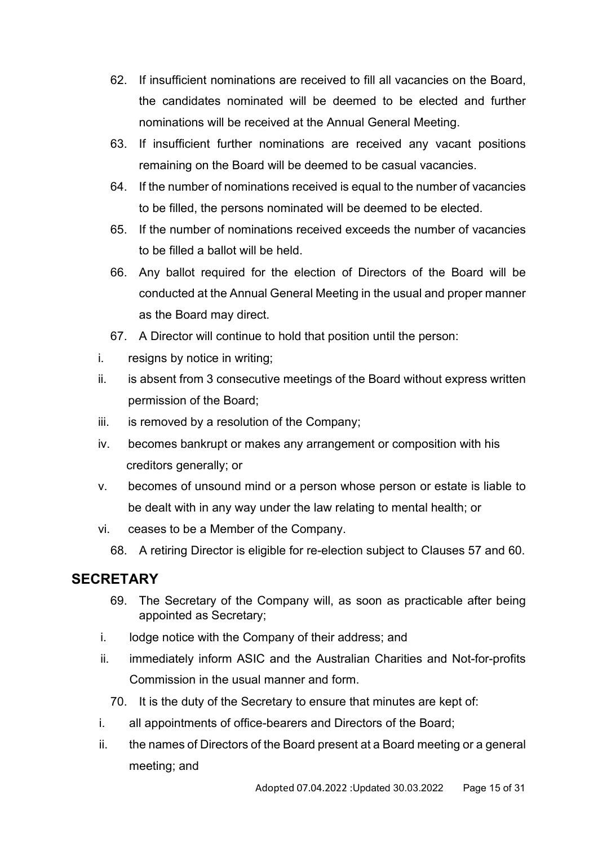- 62. If insufficient nominations are received to fill all vacancies on the Board, the candidates nominated will be deemed to be elected and further nominations will be received at the Annual General Meeting.
- 63. If insufficient further nominations are received any vacant positions remaining on the Board will be deemed to be casual vacancies.
- 64. If the number of nominations received is equal to the number of vacancies to be filled, the persons nominated will be deemed to be elected.
- 65. If the number of nominations received exceeds the number of vacancies to be filled a ballot will be held.
- 66. Any ballot required for the election of Directors of the Board will be conducted at the Annual General Meeting in the usual and proper manner as the Board may direct.
- 67. A Director will continue to hold that position until the person:
- i. resigns by notice in writing;
- ii. is absent from 3 consecutive meetings of the Board without express written permission of the Board;
- iii. is removed by a resolution of the Company;
- iv. becomes bankrupt or makes any arrangement or composition with his creditors generally; or
- v. becomes of unsound mind or a person whose person or estate is liable to be dealt with in any way under the law relating to mental health; or
- vi. ceases to be a Member of the Company.
	- 68. A retiring Director is eligible for re-election subject to Clauses 57 and 60.

## <span id="page-14-0"></span>**SECRETARY**

- 69. The Secretary of the Company will, as soon as practicable after being appointed as Secretary;
- i. lodge notice with the Company of their address; and
- ii. immediately inform ASIC and the Australian Charities and Not-for-profits Commission in the usual manner and form.
	- 70. It is the duty of the Secretary to ensure that minutes are kept of:
- i. all appointments of office-bearers and Directors of the Board;
- ii. the names of Directors of the Board present at a Board meeting or a general meeting; and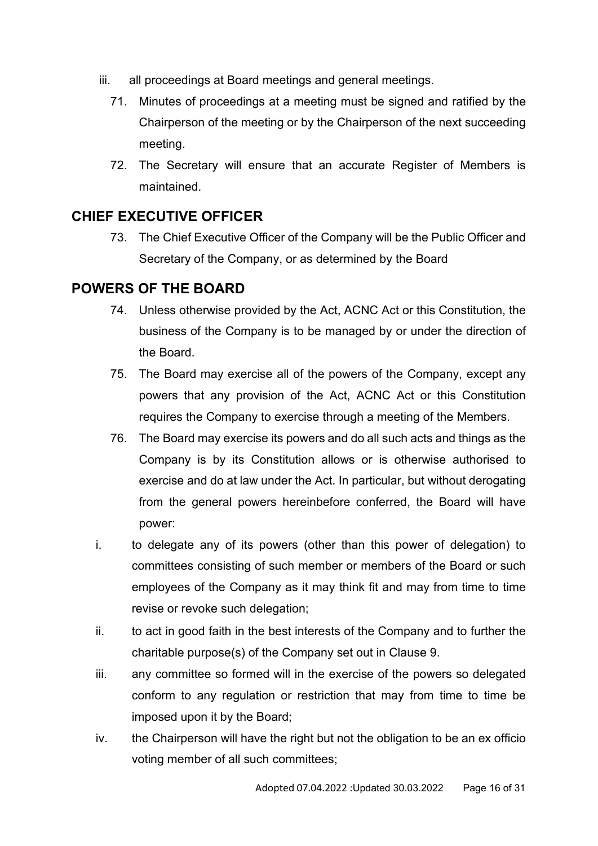- iii. all proceedings at Board meetings and general meetings.
	- 71. Minutes of proceedings at a meeting must be signed and ratified by the Chairperson of the meeting or by the Chairperson of the next succeeding meeting.
	- 72. The Secretary will ensure that an accurate Register of Members is maintained.

## <span id="page-15-0"></span>**CHIEF EXECUTIVE OFFICER**

73. The Chief Executive Officer of the Company will be the Public Officer and Secretary of the Company, or as determined by the Board

## <span id="page-15-1"></span>**POWERS OF THE BOARD**

- 74. Unless otherwise provided by the Act, ACNC Act or this Constitution, the business of the Company is to be managed by or under the direction of the Board.
- 75. The Board may exercise all of the powers of the Company, except any powers that any provision of the Act, ACNC Act or this Constitution requires the Company to exercise through a meeting of the Members.
- 76. The Board may exercise its powers and do all such acts and things as the Company is by its Constitution allows or is otherwise authorised to exercise and do at law under the Act. In particular, but without derogating from the general powers hereinbefore conferred, the Board will have power:
- i. to delegate any of its powers (other than this power of delegation) to committees consisting of such member or members of the Board or such employees of the Company as it may think fit and may from time to time revise or revoke such delegation;
- ii. to act in good faith in the best interests of the Company and to further the charitable purpose(s) of the Company set out in Clause 9.
- iii. any committee so formed will in the exercise of the powers so delegated conform to any regulation or restriction that may from time to time be imposed upon it by the Board;
- iv. the Chairperson will have the right but not the obligation to be an ex officio voting member of all such committees;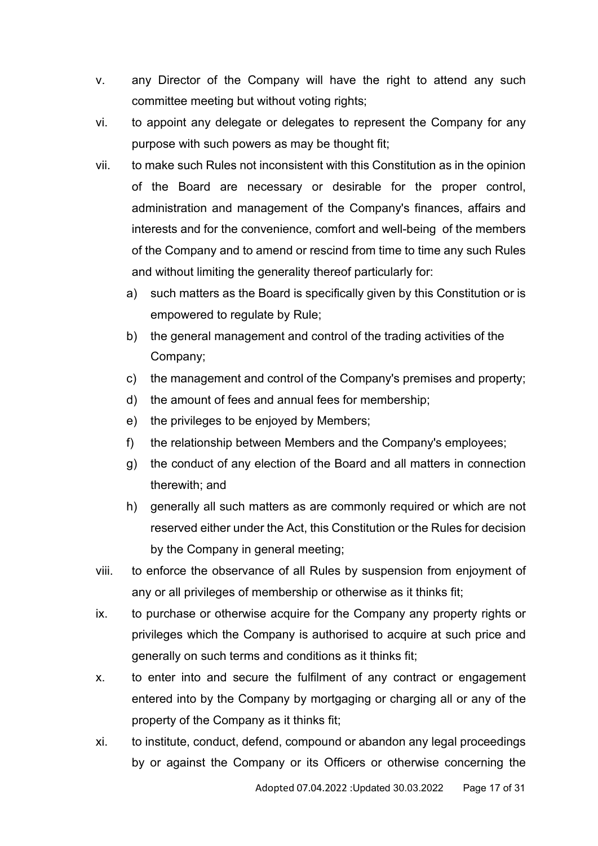- v. any Director of the Company will have the right to attend any such committee meeting but without voting rights;
- vi. to appoint any delegate or delegates to represent the Company for any purpose with such powers as may be thought fit;
- vii. to make such Rules not inconsistent with this Constitution as in the opinion of the Board are necessary or desirable for the proper control, administration and management of the Company's finances, affairs and interests and for the convenience, comfort and well-being of the members of the Company and to amend or rescind from time to time any such Rules and without limiting the generality thereof particularly for:
	- a) such matters as the Board is specifically given by this Constitution or is empowered to regulate by Rule;
	- b) the general management and control of the trading activities of the Company;
	- c) the management and control of the Company's premises and property;
	- d) the amount of fees and annual fees for membership;
	- e) the privileges to be enjoyed by Members;
	- f) the relationship between Members and the Company's employees;
	- g) the conduct of any election of the Board and all matters in connection therewith; and
	- h) generally all such matters as are commonly required or which are not reserved either under the Act, this Constitution or the Rules for decision by the Company in general meeting;
- viii. to enforce the observance of all Rules by suspension from enjoyment of any or all privileges of membership or otherwise as it thinks fit;
- ix. to purchase or otherwise acquire for the Company any property rights or privileges which the Company is authorised to acquire at such price and generally on such terms and conditions as it thinks fit;
- x. to enter into and secure the fulfilment of any contract or engagement entered into by the Company by mortgaging or charging all or any of the property of the Company as it thinks fit;
- xi. to institute, conduct, defend, compound or abandon any legal proceedings by or against the Company or its Officers or otherwise concerning the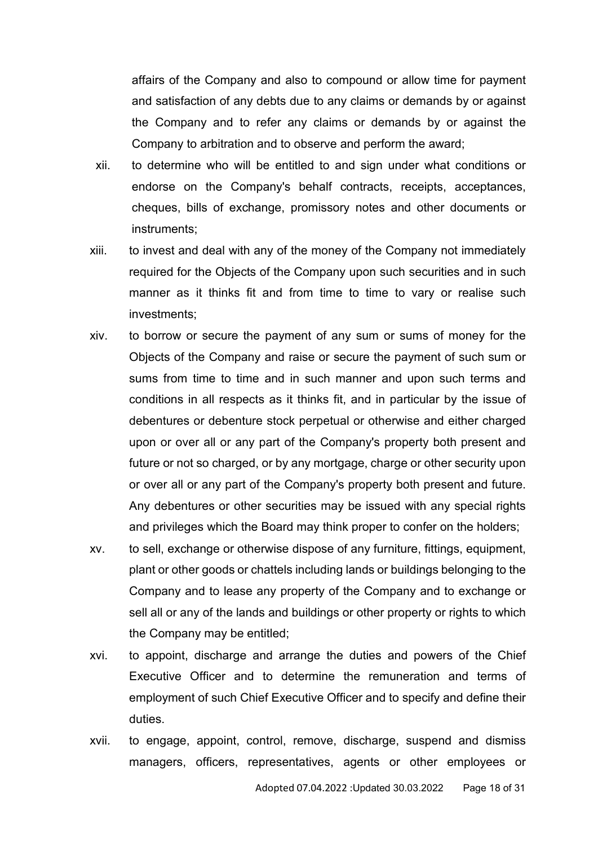affairs of the Company and also to compound or allow time for payment and satisfaction of any debts due to any claims or demands by or against the Company and to refer any claims or demands by or against the Company to arbitration and to observe and perform the award;

- xii. to determine who will be entitled to and sign under what conditions or endorse on the Company's behalf contracts, receipts, acceptances, cheques, bills of exchange, promissory notes and other documents or instruments;
- xiii. to invest and deal with any of the money of the Company not immediately required for the Objects of the Company upon such securities and in such manner as it thinks fit and from time to time to vary or realise such investments;
- xiv. to borrow or secure the payment of any sum or sums of money for the Objects of the Company and raise or secure the payment of such sum or sums from time to time and in such manner and upon such terms and conditions in all respects as it thinks fit, and in particular by the issue of debentures or debenture stock perpetual or otherwise and either charged upon or over all or any part of the Company's property both present and future or not so charged, or by any mortgage, charge or other security upon or over all or any part of the Company's property both present and future. Any debentures or other securities may be issued with any special rights and privileges which the Board may think proper to confer on the holders;
- xv. to sell, exchange or otherwise dispose of any furniture, fittings, equipment, plant or other goods or chattels including lands or buildings belonging to the Company and to lease any property of the Company and to exchange or sell all or any of the lands and buildings or other property or rights to which the Company may be entitled;
- xvi. to appoint, discharge and arrange the duties and powers of the Chief Executive Officer and to determine the remuneration and terms of employment of such Chief Executive Officer and to specify and define their duties.
- xvii. to engage, appoint, control, remove, discharge, suspend and dismiss managers, officers, representatives, agents or other employees or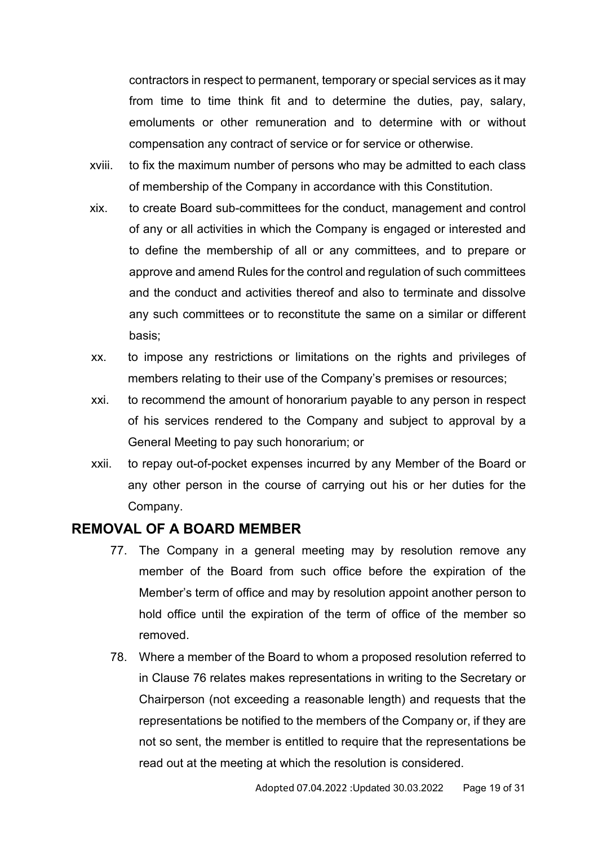contractors in respect to permanent, temporary or special services as it may from time to time think fit and to determine the duties, pay, salary, emoluments or other remuneration and to determine with or without compensation any contract of service or for service or otherwise.

- xviii. to fix the maximum number of persons who may be admitted to each class of membership of the Company in accordance with this Constitution.
- xix. to create Board sub-committees for the conduct, management and control of any or all activities in which the Company is engaged or interested and to define the membership of all or any committees, and to prepare or approve and amend Rules for the control and regulation of such committees and the conduct and activities thereof and also to terminate and dissolve any such committees or to reconstitute the same on a similar or different basis;
- xx. to impose any restrictions or limitations on the rights and privileges of members relating to their use of the Company's premises or resources;
- xxi. to recommend the amount of honorarium payable to any person in respect of his services rendered to the Company and subject to approval by a General Meeting to pay such honorarium; or
- xxii. to repay out-of-pocket expenses incurred by any Member of the Board or any other person in the course of carrying out his or her duties for the Company.

#### <span id="page-18-0"></span>**REMOVAL OF A BOARD MEMBER**

- 77. The Company in a general meeting may by resolution remove any member of the Board from such office before the expiration of the Member's term of office and may by resolution appoint another person to hold office until the expiration of the term of office of the member so removed.
- 78. Where a member of the Board to whom a proposed resolution referred to in Clause 76 relates makes representations in writing to the Secretary or Chairperson (not exceeding a reasonable length) and requests that the representations be notified to the members of the Company or, if they are not so sent, the member is entitled to require that the representations be read out at the meeting at which the resolution is considered.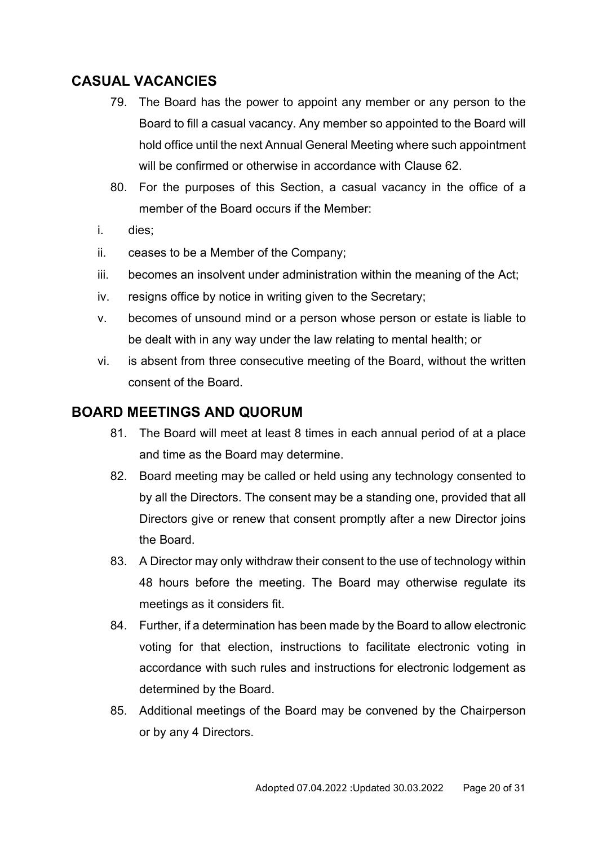## <span id="page-19-0"></span>**CASUAL VACANCIES**

- 79. The Board has the power to appoint any member or any person to the Board to fill a casual vacancy. Any member so appointed to the Board will hold office until the next Annual General Meeting where such appointment will be confirmed or otherwise in accordance with Clause 62.
- 80. For the purposes of this Section, a casual vacancy in the office of a member of the Board occurs if the Member:
- i. dies;
- ii. ceases to be a Member of the Company;
- iii. becomes an insolvent under administration within the meaning of the Act;
- iv. resigns office by notice in writing given to the Secretary;
- v. becomes of unsound mind or a person whose person or estate is liable to be dealt with in any way under the law relating to mental health; or
- vi. is absent from three consecutive meeting of the Board, without the written consent of the Board.

### <span id="page-19-1"></span>**BOARD MEETINGS AND QUORUM**

- 81. The Board will meet at least 8 times in each annual period of at a place and time as the Board may determine.
- 82. Board meeting may be called or held using any technology consented to by all the Directors. The consent may be a standing one, provided that all Directors give or renew that consent promptly after a new Director joins the Board.
- 83. A Director may only withdraw their consent to the use of technology within 48 hours before the meeting. The Board may otherwise regulate its meetings as it considers fit.
- 84. Further, if a determination has been made by the Board to allow electronic voting for that election, instructions to facilitate electronic voting in accordance with such rules and instructions for electronic lodgement as determined by the Board.
- 85. Additional meetings of the Board may be convened by the Chairperson or by any 4 Directors.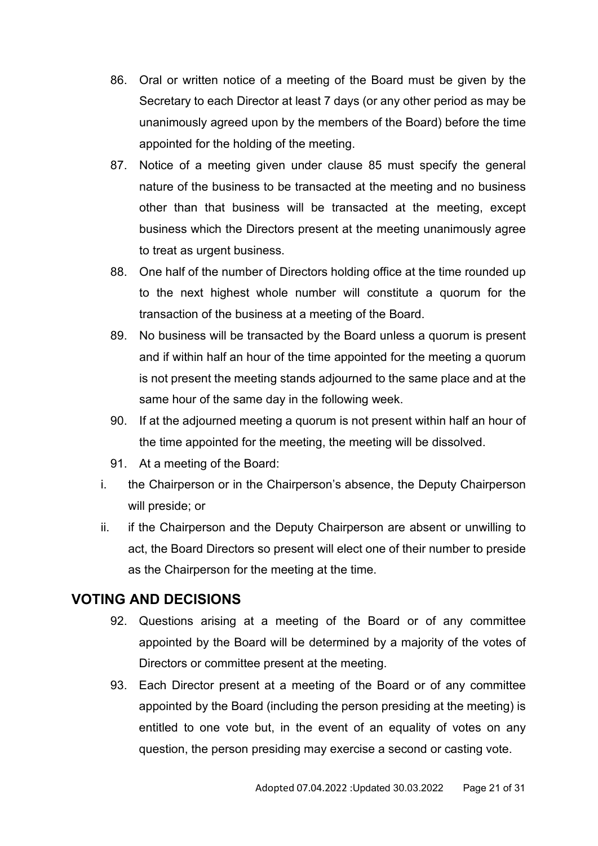- 86. Oral or written notice of a meeting of the Board must be given by the Secretary to each Director at least 7 days (or any other period as may be unanimously agreed upon by the members of the Board) before the time appointed for the holding of the meeting.
- 87. Notice of a meeting given under clause 85 must specify the general nature of the business to be transacted at the meeting and no business other than that business will be transacted at the meeting, except business which the Directors present at the meeting unanimously agree to treat as urgent business.
- 88. One half of the number of Directors holding office at the time rounded up to the next highest whole number will constitute a quorum for the transaction of the business at a meeting of the Board.
- 89. No business will be transacted by the Board unless a quorum is present and if within half an hour of the time appointed for the meeting a quorum is not present the meeting stands adjourned to the same place and at the same hour of the same day in the following week.
- 90. If at the adjourned meeting a quorum is not present within half an hour of the time appointed for the meeting, the meeting will be dissolved.
- 91. At a meeting of the Board:
- i. the Chairperson or in the Chairperson's absence, the Deputy Chairperson will preside; or
- ii. if the Chairperson and the Deputy Chairperson are absent or unwilling to act, the Board Directors so present will elect one of their number to preside as the Chairperson for the meeting at the time.

## <span id="page-20-0"></span>**VOTING AND DECISIONS**

- 92. Questions arising at a meeting of the Board or of any committee appointed by the Board will be determined by a majority of the votes of Directors or committee present at the meeting.
- 93. Each Director present at a meeting of the Board or of any committee appointed by the Board (including the person presiding at the meeting) is entitled to one vote but, in the event of an equality of votes on any question, the person presiding may exercise a second or casting vote.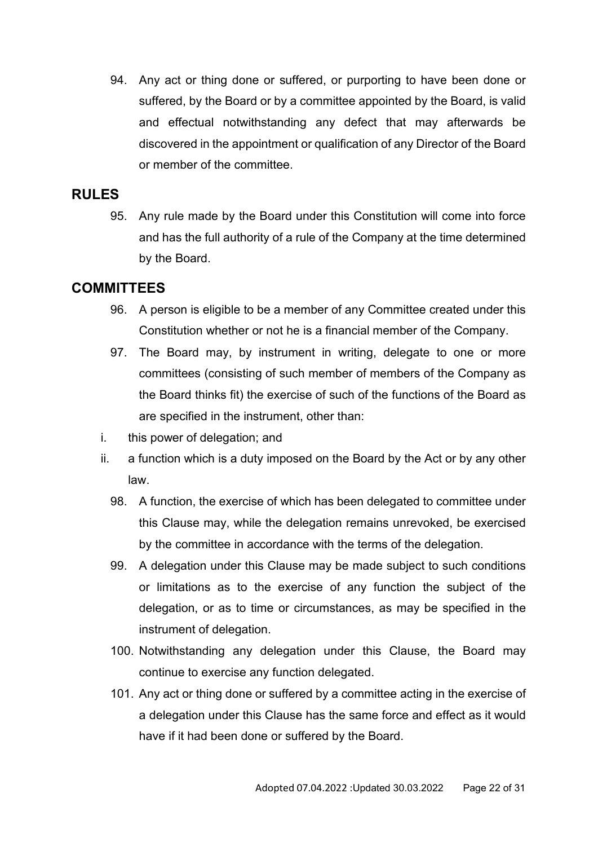94. Any act or thing done or suffered, or purporting to have been done or suffered, by the Board or by a committee appointed by the Board, is valid and effectual notwithstanding any defect that may afterwards be discovered in the appointment or qualification of any Director of the Board or member of the committee.

## <span id="page-21-0"></span>**RULES**

95. Any rule made by the Board under this Constitution will come into force and has the full authority of a rule of the Company at the time determined by the Board.

## <span id="page-21-1"></span>**COMMITTEES**

- 96. A person is eligible to be a member of any Committee created under this Constitution whether or not he is a financial member of the Company.
- 97. The Board may, by instrument in writing, delegate to one or more committees (consisting of such member of members of the Company as the Board thinks fit) the exercise of such of the functions of the Board as are specified in the instrument, other than:
- i. this power of delegation; and
- ii. a function which is a duty imposed on the Board by the Act or by any other law.
	- 98. A function, the exercise of which has been delegated to committee under this Clause may, while the delegation remains unrevoked, be exercised by the committee in accordance with the terms of the delegation.
	- 99. A delegation under this Clause may be made subject to such conditions or limitations as to the exercise of any function the subject of the delegation, or as to time or circumstances, as may be specified in the instrument of delegation.
	- 100. Notwithstanding any delegation under this Clause, the Board may continue to exercise any function delegated.
	- 101. Any act or thing done or suffered by a committee acting in the exercise of a delegation under this Clause has the same force and effect as it would have if it had been done or suffered by the Board.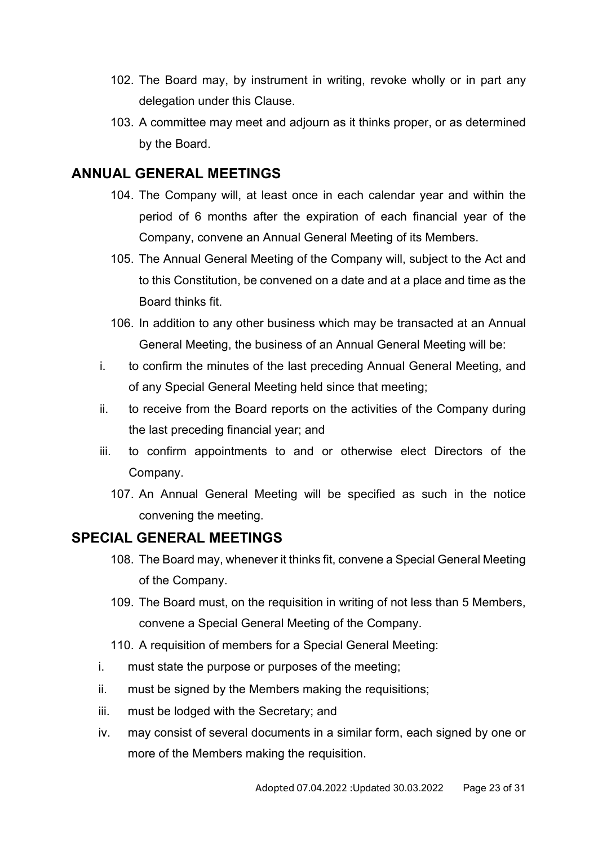- 102. The Board may, by instrument in writing, revoke wholly or in part any delegation under this Clause.
- 103. A committee may meet and adjourn as it thinks proper, or as determined by the Board.

## <span id="page-22-0"></span>**ANNUAL GENERAL MEETINGS**

- 104. The Company will, at least once in each calendar year and within the period of 6 months after the expiration of each financial year of the Company, convene an Annual General Meeting of its Members.
- 105. The Annual General Meeting of the Company will, subject to the Act and to this Constitution, be convened on a date and at a place and time as the Board thinks fit.
- 106. In addition to any other business which may be transacted at an Annual General Meeting, the business of an Annual General Meeting will be:
- i. to confirm the minutes of the last preceding Annual General Meeting, and of any Special General Meeting held since that meeting;
- ii. to receive from the Board reports on the activities of the Company during the last preceding financial year; and
- iii. to confirm appointments to and or otherwise elect Directors of the Company.
	- 107. An Annual General Meeting will be specified as such in the notice convening the meeting.

## <span id="page-22-1"></span>**SPECIAL GENERAL MEETINGS**

- 108. The Board may, whenever it thinks fit, convene a Special General Meeting of the Company.
- 109. The Board must, on the requisition in writing of not less than 5 Members, convene a Special General Meeting of the Company.
- 110. A requisition of members for a Special General Meeting:
- i. must state the purpose or purposes of the meeting;
- ii. must be signed by the Members making the requisitions;
- iii. must be lodged with the Secretary; and
- iv. may consist of several documents in a similar form, each signed by one or more of the Members making the requisition.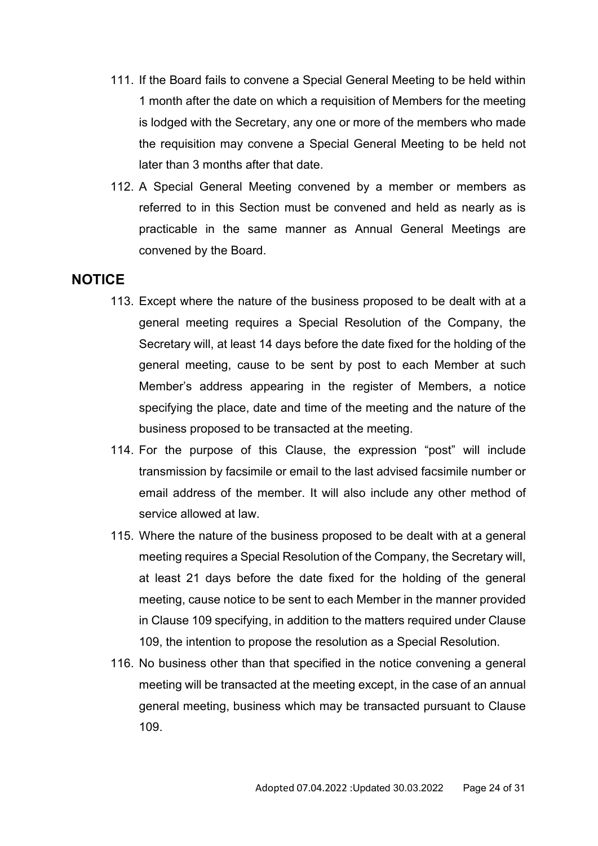- 111. If the Board fails to convene a Special General Meeting to be held within 1 month after the date on which a requisition of Members for the meeting is lodged with the Secretary, any one or more of the members who made the requisition may convene a Special General Meeting to be held not later than 3 months after that date.
- 112. A Special General Meeting convened by a member or members as referred to in this Section must be convened and held as nearly as is practicable in the same manner as Annual General Meetings are convened by the Board.

#### <span id="page-23-0"></span>**NOTICE**

- 113. Except where the nature of the business proposed to be dealt with at a general meeting requires a Special Resolution of the Company, the Secretary will, at least 14 days before the date fixed for the holding of the general meeting, cause to be sent by post to each Member at such Member's address appearing in the register of Members, a notice specifying the place, date and time of the meeting and the nature of the business proposed to be transacted at the meeting.
- 114. For the purpose of this Clause, the expression "post" will include transmission by facsimile or email to the last advised facsimile number or email address of the member. It will also include any other method of service allowed at law.
- 115. Where the nature of the business proposed to be dealt with at a general meeting requires a Special Resolution of the Company, the Secretary will, at least 21 days before the date fixed for the holding of the general meeting, cause notice to be sent to each Member in the manner provided in Clause 109 specifying, in addition to the matters required under Clause 109, the intention to propose the resolution as a Special Resolution.
- 116. No business other than that specified in the notice convening a general meeting will be transacted at the meeting except, in the case of an annual general meeting, business which may be transacted pursuant to Clause 109.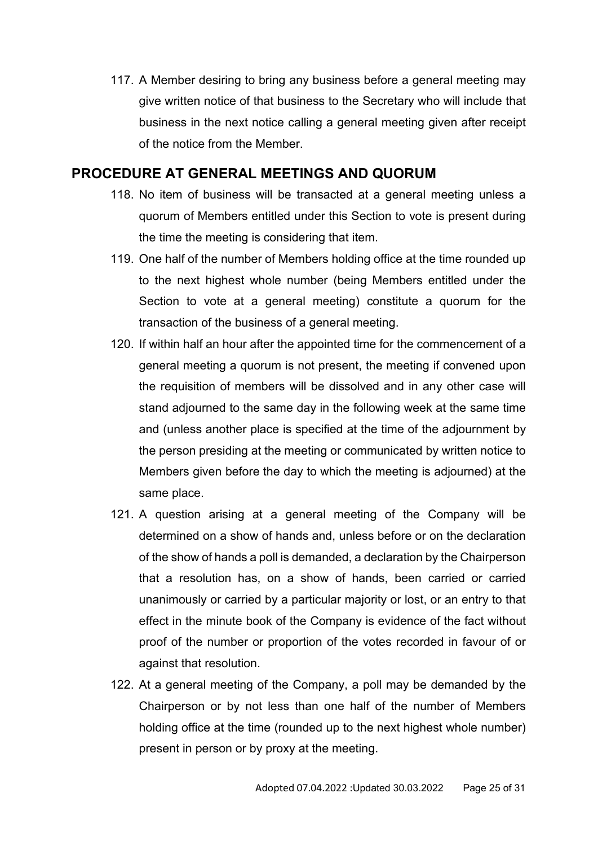117. A Member desiring to bring any business before a general meeting may give written notice of that business to the Secretary who will include that business in the next notice calling a general meeting given after receipt of the notice from the Member.

### <span id="page-24-0"></span>**PROCEDURE AT GENERAL MEETINGS AND QUORUM**

- 118. No item of business will be transacted at a general meeting unless a quorum of Members entitled under this Section to vote is present during the time the meeting is considering that item.
- 119. One half of the number of Members holding office at the time rounded up to the next highest whole number (being Members entitled under the Section to vote at a general meeting) constitute a quorum for the transaction of the business of a general meeting.
- 120. If within half an hour after the appointed time for the commencement of a general meeting a quorum is not present, the meeting if convened upon the requisition of members will be dissolved and in any other case will stand adjourned to the same day in the following week at the same time and (unless another place is specified at the time of the adjournment by the person presiding at the meeting or communicated by written notice to Members given before the day to which the meeting is adjourned) at the same place.
- 121. A question arising at a general meeting of the Company will be determined on a show of hands and, unless before or on the declaration of the show of hands a poll is demanded, a declaration by the Chairperson that a resolution has, on a show of hands, been carried or carried unanimously or carried by a particular majority or lost, or an entry to that effect in the minute book of the Company is evidence of the fact without proof of the number or proportion of the votes recorded in favour of or against that resolution.
- 122. At a general meeting of the Company, a poll may be demanded by the Chairperson or by not less than one half of the number of Members holding office at the time (rounded up to the next highest whole number) present in person or by proxy at the meeting.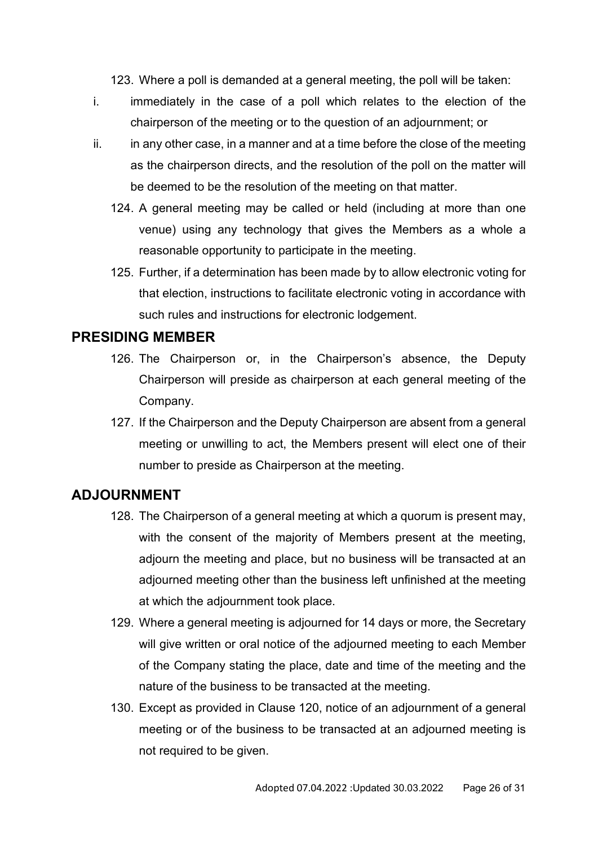123. Where a poll is demanded at a general meeting, the poll will be taken:

- i. immediately in the case of a poll which relates to the election of the chairperson of the meeting or to the question of an adjournment; or
- $ii.$  in any other case, in a manner and at a time before the close of the meeting as the chairperson directs, and the resolution of the poll on the matter will be deemed to be the resolution of the meeting on that matter.
	- 124. A general meeting may be called or held (including at more than one venue) using any technology that gives the Members as a whole a reasonable opportunity to participate in the meeting.
	- 125. Further, if a determination has been made by to allow electronic voting for that election, instructions to facilitate electronic voting in accordance with such rules and instructions for electronic lodgement.

### <span id="page-25-0"></span>**PRESIDING MEMBER**

- 126. The Chairperson or, in the Chairperson's absence, the Deputy Chairperson will preside as chairperson at each general meeting of the Company.
- 127. If the Chairperson and the Deputy Chairperson are absent from a general meeting or unwilling to act, the Members present will elect one of their number to preside as Chairperson at the meeting.

## <span id="page-25-1"></span>**ADJOURNMENT**

- 128. The Chairperson of a general meeting at which a quorum is present may, with the consent of the majority of Members present at the meeting, adjourn the meeting and place, but no business will be transacted at an adjourned meeting other than the business left unfinished at the meeting at which the adjournment took place.
- 129. Where a general meeting is adjourned for 14 days or more, the Secretary will give written or oral notice of the adjourned meeting to each Member of the Company stating the place, date and time of the meeting and the nature of the business to be transacted at the meeting.
- 130. Except as provided in Clause 120, notice of an adjournment of a general meeting or of the business to be transacted at an adjourned meeting is not required to be given.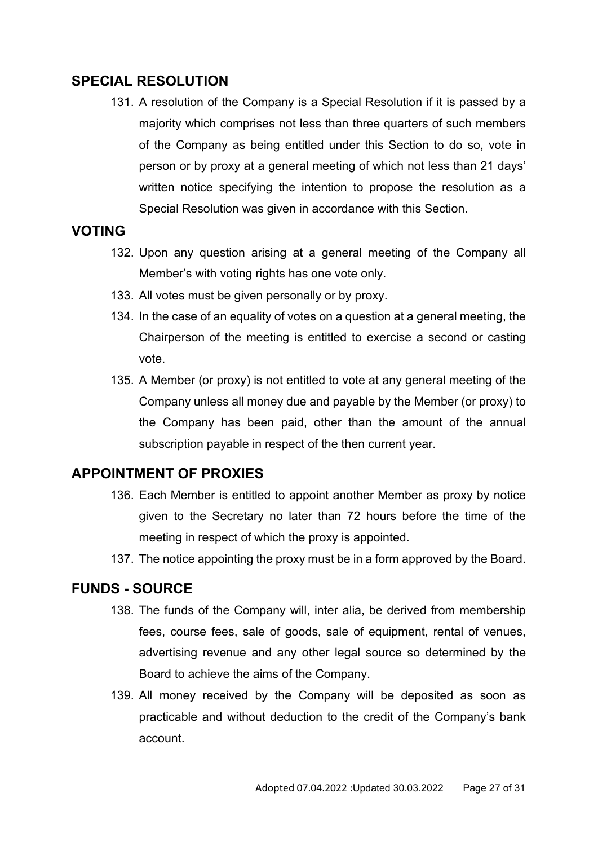## <span id="page-26-0"></span>**SPECIAL RESOLUTION**

131. A resolution of the Company is a Special Resolution if it is passed by a majority which comprises not less than three quarters of such members of the Company as being entitled under this Section to do so, vote in person or by proxy at a general meeting of which not less than 21 days' written notice specifying the intention to propose the resolution as a Special Resolution was given in accordance with this Section.

#### <span id="page-26-1"></span>**VOTING**

- 132. Upon any question arising at a general meeting of the Company all Member's with voting rights has one vote only.
- 133. All votes must be given personally or by proxy.
- 134. In the case of an equality of votes on a question at a general meeting, the Chairperson of the meeting is entitled to exercise a second or casting vote.
- 135. A Member (or proxy) is not entitled to vote at any general meeting of the Company unless all money due and payable by the Member (or proxy) to the Company has been paid, other than the amount of the annual subscription payable in respect of the then current year.

#### <span id="page-26-2"></span>**APPOINTMENT OF PROXIES**

- 136. Each Member is entitled to appoint another Member as proxy by notice given to the Secretary no later than 72 hours before the time of the meeting in respect of which the proxy is appointed.
- 137. The notice appointing the proxy must be in a form approved by the Board.

### <span id="page-26-3"></span>**FUNDS - SOURCE**

- 138. The funds of the Company will, inter alia, be derived from membership fees, course fees, sale of goods, sale of equipment, rental of venues, advertising revenue and any other legal source so determined by the Board to achieve the aims of the Company.
- 139. All money received by the Company will be deposited as soon as practicable and without deduction to the credit of the Company's bank account.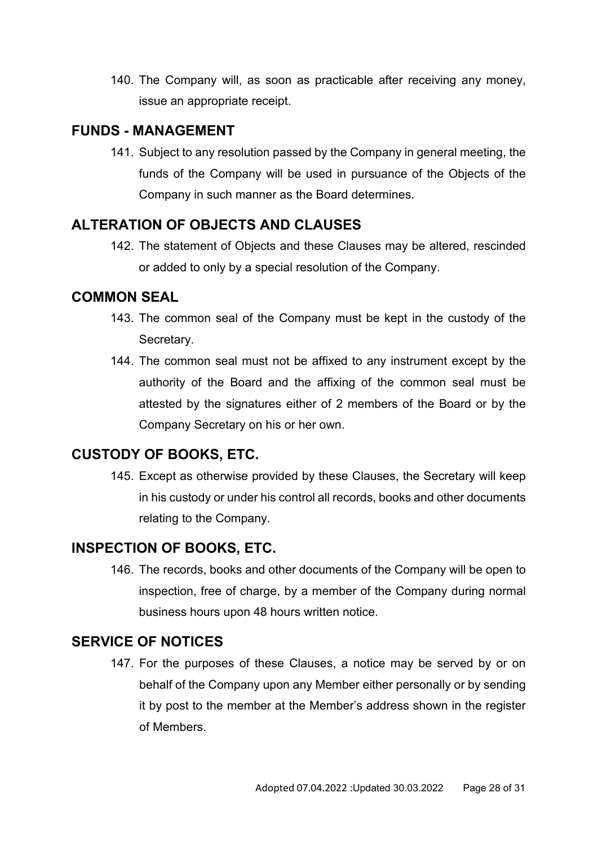140. The Company will, as soon as practicable after receiving any money, issue an appropriate receipt.

## <span id="page-27-0"></span>**FUNDS - MANAGEMENT**

141. Subject to any resolution passed by the Company in general meeting, the funds of the Company will be used in pursuance of the Objects of the Company in such manner as the Board determines.

## <span id="page-27-1"></span>**ALTERATION OF OBJECTS AND CLAUSES**

142. The statement of Objects and these Clauses may be altered, rescinded or added to only by a special resolution of the Company.

### <span id="page-27-2"></span>**COMMON SEAL**

- 143. The common seal of the Company must be kept in the custody of the Secretary.
- 144. The common seal must not be affixed to any instrument except by the authority of the Board and the affixing of the common seal must be attested by the signatures either of 2 members of the Board or by the Company Secretary on his or her own.

## <span id="page-27-3"></span>**CUSTODY OF BOOKS, ETC.**

145. Except as otherwise provided by these Clauses, the Secretary will keep in his custody or under his control all records, books and other documents relating to the Company.

## <span id="page-27-4"></span>**INSPECTION OF BOOKS, ETC.**

146. The records, books and other documents of the Company will be open to inspection, free of charge, by a member of the Company during normal business hours upon 48 hours written notice.

## <span id="page-27-5"></span>**SERVICE OF NOTICES**

147. For the purposes of these Clauses, a notice may be served by or on behalf of the Company upon any Member either personally or by sending it by post to the member at the Member's address shown in the register of Members.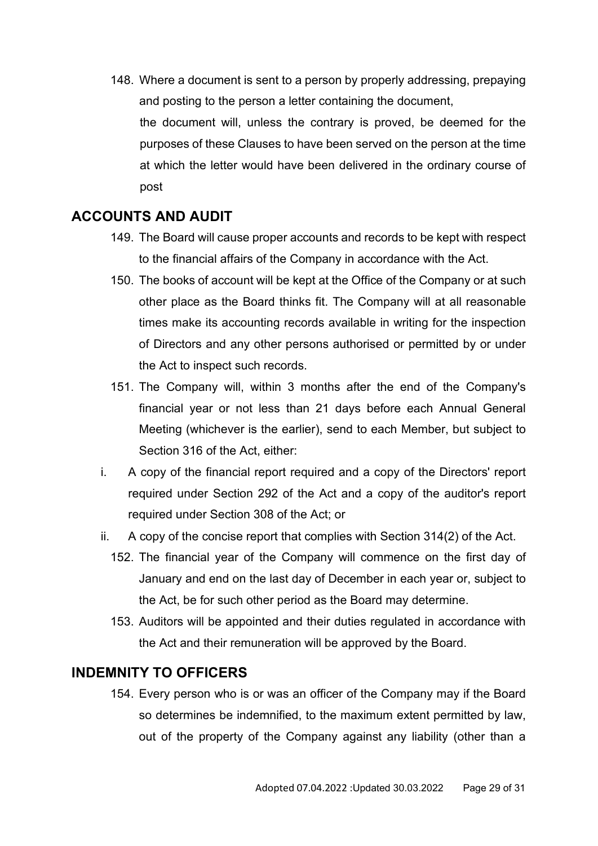148. Where a document is sent to a person by properly addressing, prepaying and posting to the person a letter containing the document, the document will, unless the contrary is proved, be deemed for the purposes of these Clauses to have been served on the person at the time at which the letter would have been delivered in the ordinary course of post

## <span id="page-28-0"></span>**ACCOUNTS AND AUDIT**

- 149. The Board will cause proper accounts and records to be kept with respect to the financial affairs of the Company in accordance with the Act.
- 150. The books of account will be kept at the Office of the Company or at such other place as the Board thinks fit. The Company will at all reasonable times make its accounting records available in writing for the inspection of Directors and any other persons authorised or permitted by or under the Act to inspect such records.
- 151. The Company will, within 3 months after the end of the Company's financial year or not less than 21 days before each Annual General Meeting (whichever is the earlier), send to each Member, but subject to Section 316 of the Act, either:
- i. A copy of the financial report required and a copy of the Directors' report required under Section 292 of the Act and a copy of the auditor's report required under Section 308 of the Act; or
- ii. A copy of the concise report that complies with Section 314(2) of the Act.
	- 152. The financial year of the Company will commence on the first day of January and end on the last day of December in each year or, subject to the Act, be for such other period as the Board may determine.
	- 153. Auditors will be appointed and their duties regulated in accordance with the Act and their remuneration will be approved by the Board.

#### <span id="page-28-1"></span>**INDEMNITY TO OFFICERS**

154. Every person who is or was an officer of the Company may if the Board so determines be indemnified, to the maximum extent permitted by law, out of the property of the Company against any liability (other than a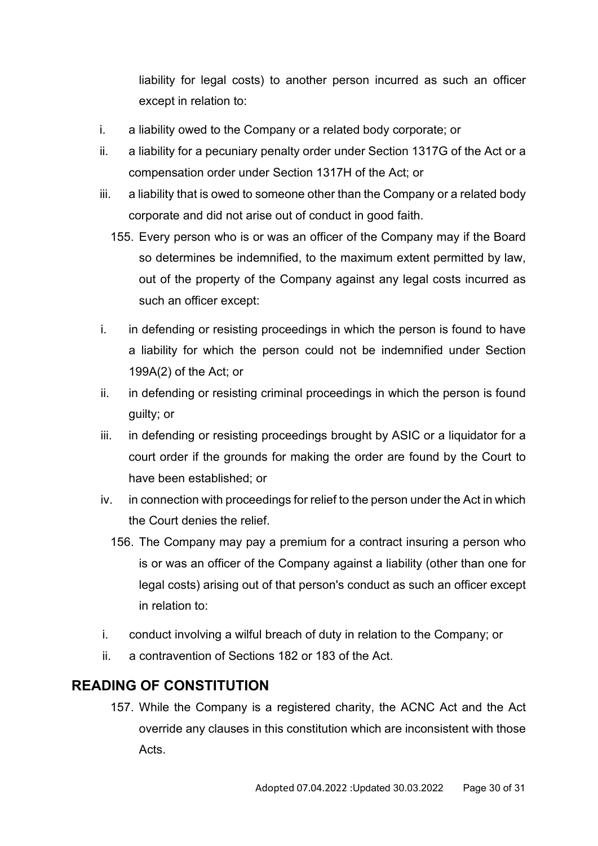liability for legal costs) to another person incurred as such an officer except in relation to:

- i. a liability owed to the Company or a related body corporate; or
- ii. a liability for a pecuniary penalty order under Section 1317G of the Act or a compensation order under Section 1317H of the Act; or
- iii. a liability that is owed to someone other than the Company or a related body corporate and did not arise out of conduct in good faith.
	- 155. Every person who is or was an officer of the Company may if the Board so determines be indemnified, to the maximum extent permitted by law, out of the property of the Company against any legal costs incurred as such an officer except:
- i. in defending or resisting proceedings in which the person is found to have a liability for which the person could not be indemnified under Section 199A(2) of the Act; or
- ii. in defending or resisting criminal proceedings in which the person is found guilty; or
- iii. in defending or resisting proceedings brought by ASIC or a liquidator for a court order if the grounds for making the order are found by the Court to have been established; or
- iv. in connection with proceedings for relief to the person under the Act in which the Court denies the relief.
	- 156. The Company may pay a premium for a contract insuring a person who is or was an officer of the Company against a liability (other than one for legal costs) arising out of that person's conduct as such an officer except in relation to:
- i. conduct involving a wilful breach of duty in relation to the Company; or
- ii. a contravention of Sections 182 or 183 of the Act.

## <span id="page-29-0"></span>**READING OF CONSTITUTION**

157. While the Company is a registered charity, the ACNC Act and the Act override any clauses in this constitution which are inconsistent with those Acts.